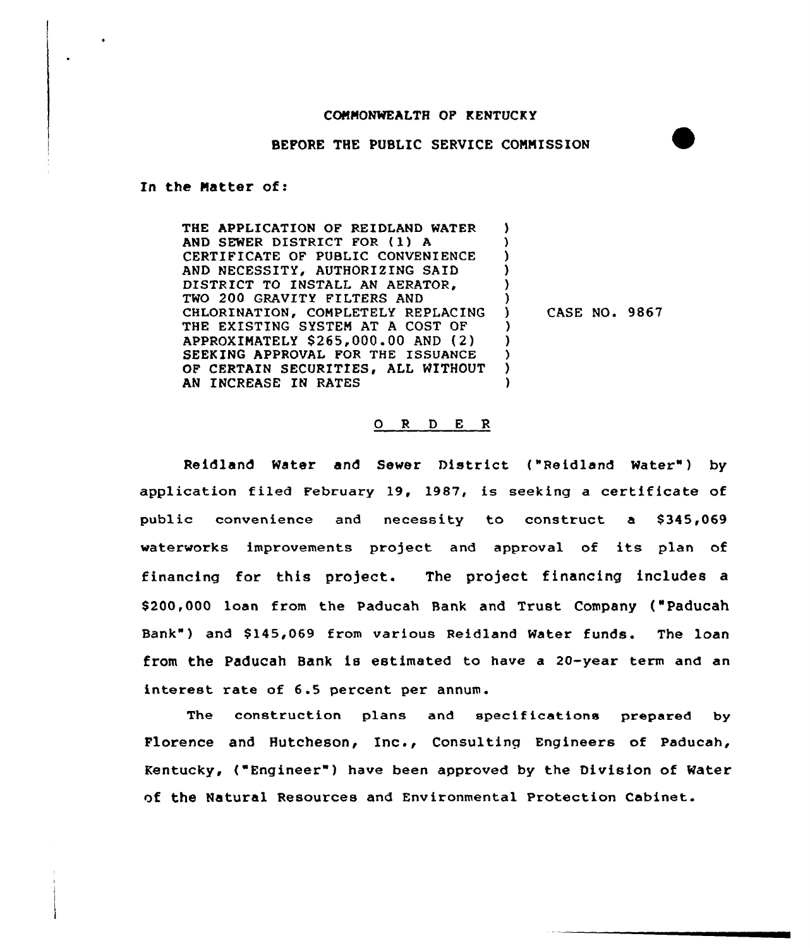## COMMONWEALTH OP KENTUCKY

BEFORE THE PUBLIC SERVICE COMMISSION

In the Matter of:

THE APPLICATION OF REIDLAND WATER AND SEWER DISTRICT FOR (1) <sup>A</sup> CERTIFICATE OF PUBLIC CONVENIENCE AND NECESSITY, AUTHORIZING SAID DISTRICT TO INSTALL AN AERATOR, TWO 200 GRAVITY FILTERS AND CHLORINATION, COMPLETELY REPLACING THE EXISTING SYSTEM AT A COST OF APPROXIMATELY \$ 265,000.00 AND (2) SEEKING APPROVAL FOR THE ISSUANCE OF CERTAIN SECURITIES, ALL WITHOUT AN INCREASE IN RATES ) ) ) ) ) ) ) ) ) ) )

 $)$  CASE NO. 9867

## 0 <sup>R</sup> <sup>D</sup> E R

Reidland Water and Sewer District ("Reidland Water") by application filed February 19, 1987, is seeking a certificate of public convenience and necessity to construct a \$345,069 waterworks improvements project and approval of its plan of financing for this project. The project financing includes a \$ 200,000 loan from the Paducah Bank and Trust Company ("Paducah Bank" ) and \$ 145,069 from various Reidland Water funds. The loan from the Paducah Bank is estimated to have a 20-year term and an interest rate of 6.5 percent per annum.

The construction plans and specifications prepared by Florence and Hutcheson, Inc., Consulting Engineers of Paducah, Kentucky, ("Engineer") have been approved by the Division of Water of the Natural Resources and Environmental Protection Cabinet.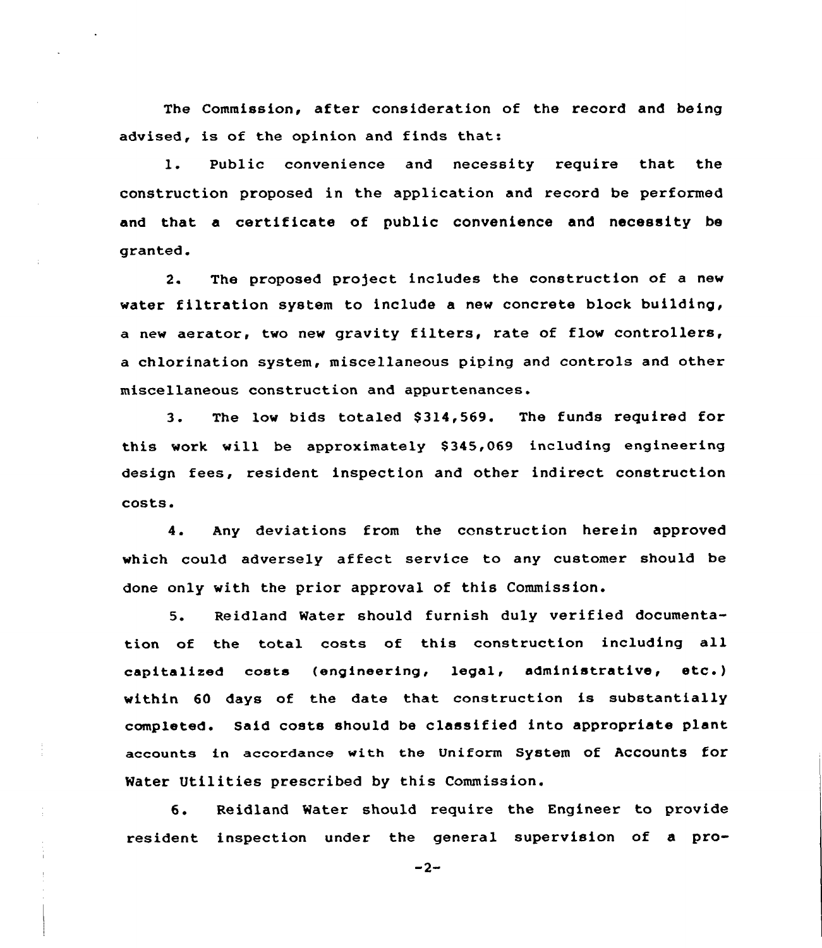The Commission, after consideration of the record and being advised, is of the opinion and finds that:

1. Public convenience and necessity require that the construction proposed in the application and record be performed and that a certificate of public convenience and necessity be granted.

2. The proposed project includes the construction of a new water filtration system to include a new concrete block building, <sup>a</sup> new aerator, two new gravity filters, rate of flow controllers, a chlorination system, miscellaneous piping and controls and other miscellaneous construction and appurtenances.

3. The low bids totaled \$ 314,569. The funds required for this work will be approximately 8345,069 including engineering design fees, resident inspection and other indirect construction costs.

4. Any deviations from the construction herein approved which could adversely affect service to any customer should be done only with the prior approval of this Commission.

5. Reidland Water should furnish duly verified documentation of the total casts of this construction including all capitalized costs (engineering, legal, administrative, etc. ) within 60 days of the date that construction is substantially completed. Said costs should be classif ied into appropriate plant accounts in accordance with the Uniform System of Accounts for Water Utilities prescribed by this Commission.

6. Reidland Water should require the Engineer to provide resident inspection under the general supervision of a pro-

 $-2-$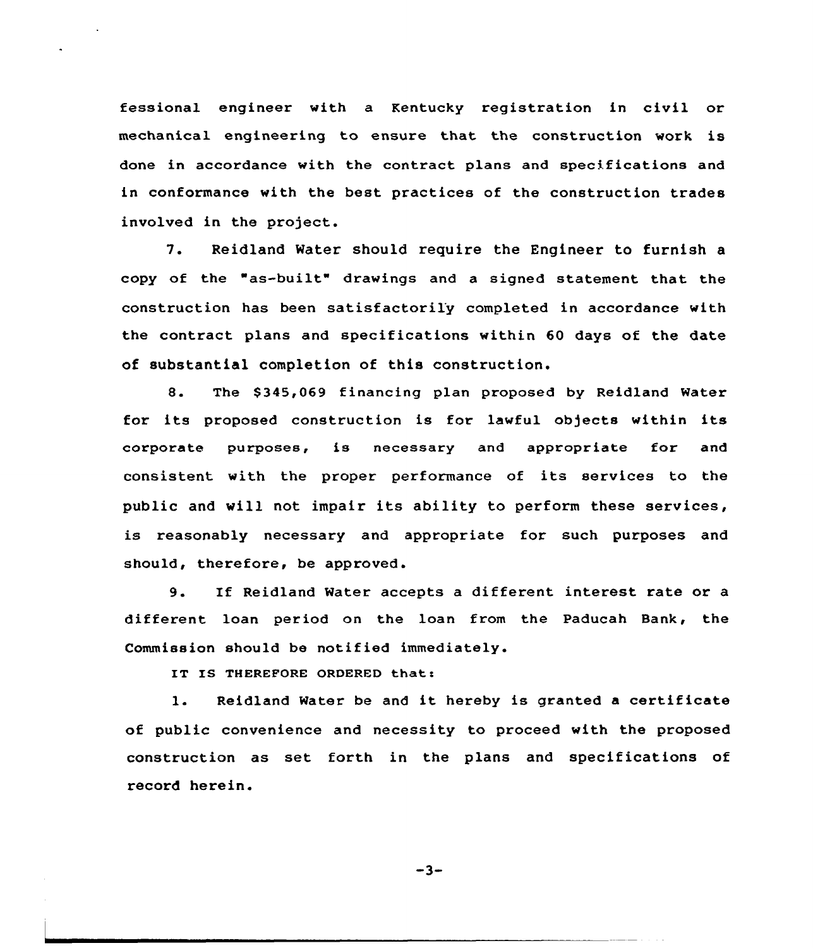fessional engineer with a Kentucky registration in civil or mechanical engineering to ensure that the construction work is done in accordance with the contract plans and specifications and in conformance with the best practices of the construction trades involved in the project.

7. Reidland Water should require the Engineer to furnish <sup>a</sup> copy of the "as-built" drawings and <sup>a</sup> signed statement that the construction has been satisfactorily completed in accordance with the contract plans and specifications within 60 days of the date of substantial completion of this construction.

8. The \$345,069 financing plan proposed by Reidland Water for its proposed construction is for lawful objects within its corporate purposes, is necessary and appropriate for and consistent with the proper performance of its services to the public and will not impair its ability to perform these services, is reasonably necessary and appropriate for such purposes and should, therefore, be approved.

9. If Reidland Water accepts <sup>a</sup> different interest rate or <sup>a</sup> different loan period on the loan from the Paducah Bank, the Commission should be notified immediately.

IT IS THEREFORE ORDERED that:

1. Reidland Water be and it hereby is granted <sup>a</sup> certificate of public convenience and necessity to proceed with the proposed construction as set forth in the plans and specifications of record herein.

 $-3-$